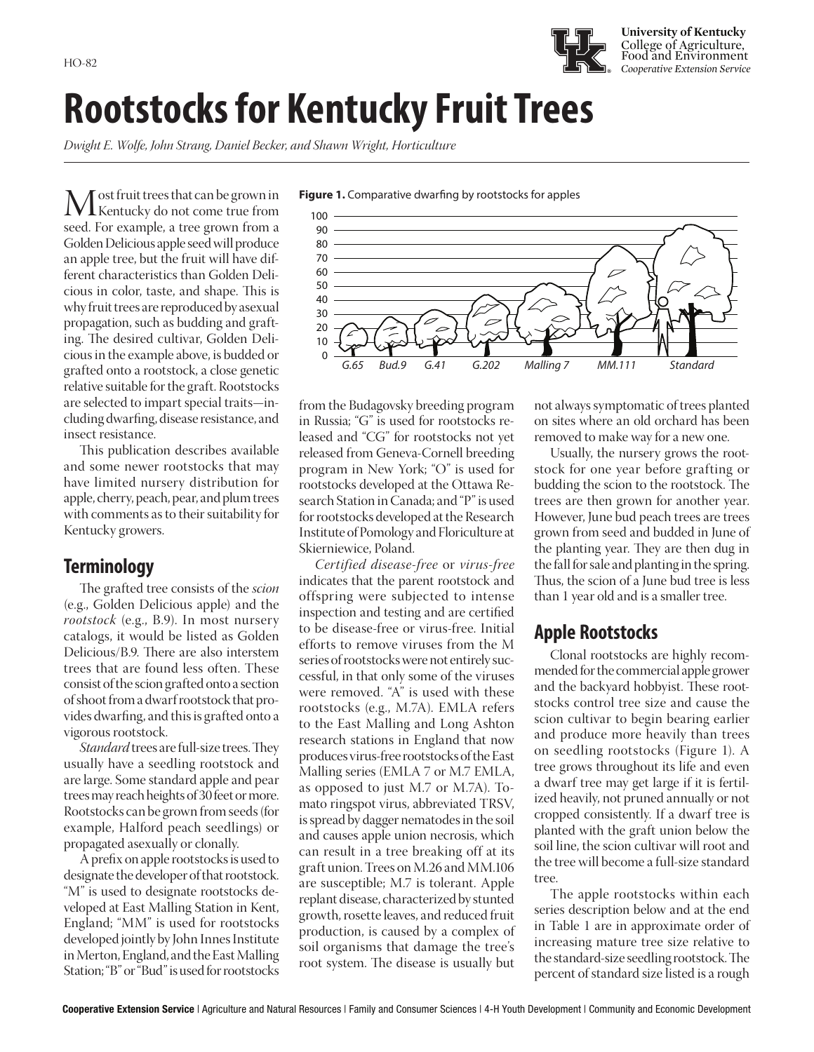

**University of Kentucky** College of Agriculture, Food and Environment

# **Rootstocks for Kentucky Fruit Trees**

*Dwight E. Wolfe, John Strang, Daniel Becker, and Shawn Wright, Horticulture*

Most fruit trees that can be grown in<br>seed For example a tree grown from a seed. For example, a tree grown from a Golden Delicious apple seed will produce an apple tree, but the fruit will have different characteristics than Golden Delicious in color, taste, and shape. This is why fruit trees are reproduced by asexual propagation, such as budding and grafting. The desired cultivar, Golden Delicious in the example above, is budded or grafted onto a rootstock, a close genetic relative suitable for the graft. Rootstocks are selected to impart special traits—including dwarfing, disease resistance, and insect resistance.

This publication describes available and some newer rootstocks that may have limited nursery distribution for apple, cherry, peach, pear, and plum trees with comments as to their suitability for Kentucky growers.

### **Terminology**

The grafted tree consists of the *scion*  (e.g., Golden Delicious apple) and the *rootstock* (e.g., B.9). In most nursery catalogs, it would be listed as Golden Delicious/B.9. There are also interstem trees that are found less often. These consist of the scion grafted onto a section of shoot from a dwarf rootstock that provides dwarfing, and this is grafted onto a vigorous rootstock.

*Standard* trees are full-size trees. They usually have a seedling rootstock and are large. Some standard apple and pear trees may reach heights of 30 feet or more. Rootstocks can be grown from seeds (for example, Halford peach seedlings) or propagated asexually or clonally.

A prefix on apple rootstocks is used to designate the developer of that rootstock. "M" is used to designate rootstocks developed at East Malling Station in Kent, England; "MM" is used for rootstocks developed jointly by John Innes Institute in Merton, England, and the East Malling Station; "B" or "Bud" is used for rootstocks



from the Budagovsky breeding program in Russia; "G" is used for rootstocks released and "CG" for rootstocks not yet released from Geneva-Cornell breeding program in New York; "O" is used for rootstocks developed at the Ottawa Research Station in Canada; and "P" is used for rootstocks developed at the Research Institute of Pomology and Floriculture at Skierniewice, Poland.

*Certified disease-free* or *virus-free*  indicates that the parent rootstock and offspring were subjected to intense inspection and testing and are certified to be disease-free or virus-free. Initial efforts to remove viruses from the M series of rootstocks were not entirely successful, in that only some of the viruses were removed. "A" is used with these rootstocks (e.g., M.7A). EMLA refers to the East Malling and Long Ashton research stations in England that now produces virus-free rootstocks of the East Malling series (EMLA 7 or M.7 EMLA, as opposed to just M.7 or M.7A). Tomato ringspot virus, abbreviated TRSV, is spread by dagger nematodes in the soil and causes apple union necrosis, which can result in a tree breaking off at its graft union. Trees on M.26 and MM.106 are susceptible; M.7 is tolerant. Apple replant disease, characterized by stunted growth, rosette leaves, and reduced fruit production, is caused by a complex of soil organisms that damage the tree's root system. The disease is usually but

not always symptomatic of trees planted on sites where an old orchard has been removed to make way for a new one.

Usually, the nursery grows the rootstock for one year before grafting or budding the scion to the rootstock. The trees are then grown for another year. However, June bud peach trees are trees grown from seed and budded in June of the planting year. They are then dug in the fall for sale and planting in the spring. Thus, the scion of a June bud tree is less than 1 year old and is a smaller tree.

# **Apple Rootstocks**

Clonal rootstocks are highly recommended for the commercial apple grower and the backyard hobbyist. These rootstocks control tree size and cause the scion cultivar to begin bearing earlier and produce more heavily than trees on seedling rootstocks (Figure 1). A tree grows throughout its life and even a dwarf tree may get large if it is fertilized heavily, not pruned annually or not cropped consistently. If a dwarf tree is planted with the graft union below the soil line, the scion cultivar will root and the tree will become a full-size standard tree.

The apple rootstocks within each series description below and at the end in Table 1 are in approximate order of increasing mature tree size relative to the standard-size seedling rootstock. The percent of standard size listed is a rough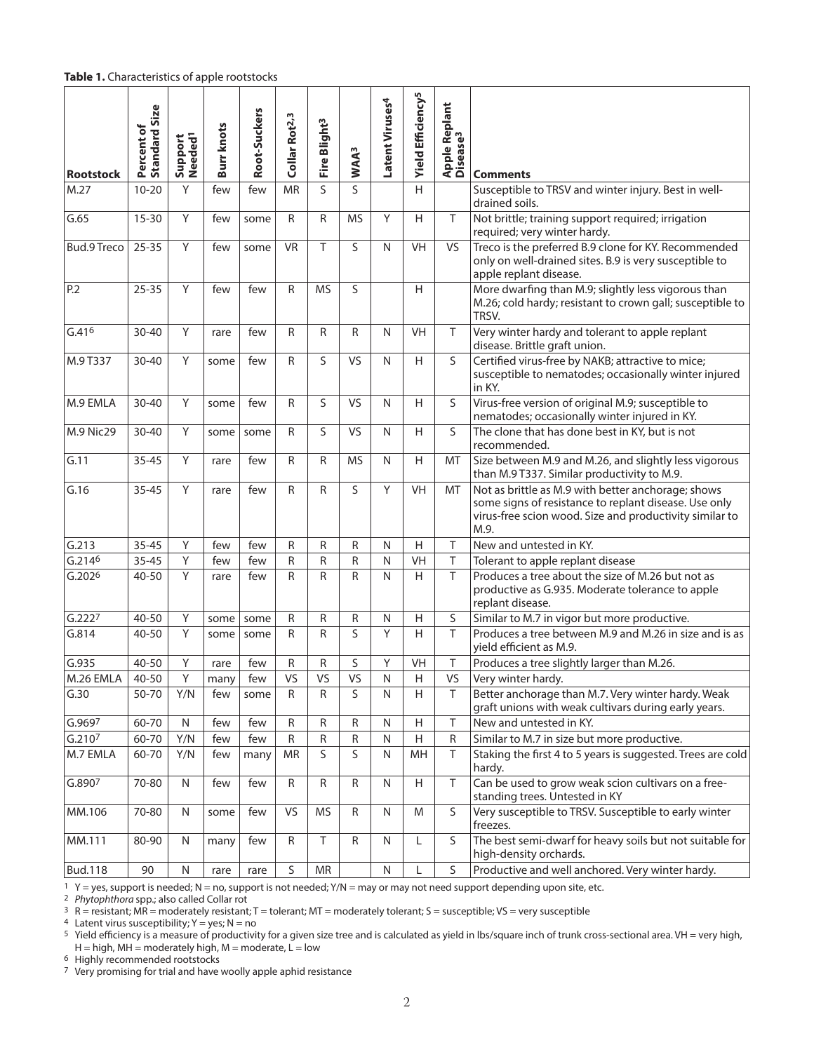#### **Table 1.** Characteristics of apple rootstocks

| <b>Rootstock</b>   | <b>Standard Size</b><br>Percent of | Support<br>Needed <sup>1</sup> | <b>Burrknots</b> | Root-Suckers | Collar Rot <sup>2,3</sup> | Fire Blight <sup>3</sup> | WAA <sup>3</sup> | Latent Viruses <sup>4</sup> | Yield Efficiency <sup>5</sup> | Apple Replant<br>Disease <sup>3</sup> | <b>Comments</b>                                                                                                                                                                |
|--------------------|------------------------------------|--------------------------------|------------------|--------------|---------------------------|--------------------------|------------------|-----------------------------|-------------------------------|---------------------------------------|--------------------------------------------------------------------------------------------------------------------------------------------------------------------------------|
| M.27               | $10 - 20$                          | Y                              | few              | few          | <b>MR</b>                 | S                        | S                |                             | H                             |                                       | Susceptible to TRSV and winter injury. Best in well-<br>drained soils.                                                                                                         |
| G.65               | $15 - 30$                          | Y                              | few              | some         | $\mathsf{R}$              | $\mathsf{R}$             | <b>MS</b>        | Υ                           | H                             | T                                     | Not brittle; training support required; irrigation<br>required; very winter hardy.                                                                                             |
| <b>Bud.9 Treco</b> | $25 - 35$                          | Y                              | few              | some         | <b>VR</b>                 | $\top$                   | S                | N                           | VH                            | VS                                    | Treco is the preferred B.9 clone for KY. Recommended<br>only on well-drained sites. B.9 is very susceptible to<br>apple replant disease.                                       |
| P.2                | $25 - 35$                          | Y                              | few              | few          | R                         | <b>MS</b>                | S                |                             | H                             |                                       | More dwarfing than M.9; slightly less vigorous than<br>M.26; cold hardy; resistant to crown gall; susceptible to<br>TRSV.                                                      |
| G.416              | 30-40                              | Y                              | rare             | few          | $\mathsf{R}$              | $\mathsf R$              | $\mathsf{R}$     | N                           | VH                            | T                                     | Very winter hardy and tolerant to apple replant<br>disease. Brittle graft union.                                                                                               |
| M.9 T337           | 30-40                              | Y                              | some             | few          | R                         | S                        | <b>VS</b>        | N                           | H                             | S                                     | Certified virus-free by NAKB; attractive to mice;<br>susceptible to nematodes; occasionally winter injured<br>in KY.                                                           |
| M.9 EMLA           | $30 - 40$                          | Y                              | some             | few          | R                         | S                        | VS               | N                           | H                             | S                                     | Virus-free version of original M.9; susceptible to<br>nematodes; occasionally winter injured in KY.                                                                            |
| M.9 Nic29          | $30 - 40$                          | Y                              | some             | some         | $\mathsf{R}$              | S                        | VS               | N                           | H                             | S                                     | The clone that has done best in KY, but is not<br>recommended.                                                                                                                 |
| G.11               | $35 - 45$                          | Y                              | rare             | few          | R                         | R                        | <b>MS</b>        | N                           | H                             | MT                                    | Size between M.9 and M.26, and slightly less vigorous<br>than M.9 T337. Similar productivity to M.9.                                                                           |
| G.16               | $35 - 45$                          | Y                              | rare             | few          | $\mathsf{R}$              | $\mathsf{R}$             | S                | Υ                           | <b>VH</b>                     | MT                                    | Not as brittle as M.9 with better anchorage; shows<br>some signs of resistance to replant disease. Use only<br>virus-free scion wood. Size and productivity similar to<br>M.9. |
| G.213              | $35 - 45$                          | Y                              | few              | few          | R                         | R                        | R                | N                           | H                             | $\top$                                | New and untested in KY.                                                                                                                                                        |
| G.2146             | $35 - 45$                          | Y                              | few              | few          | R                         | R                        | $\mathsf R$      | N                           | VH                            | T                                     | Tolerant to apple replant disease                                                                                                                                              |
| G.202 <sup>6</sup> | 40-50                              | Y                              | rare             | few          | R                         | $\mathsf{R}$             | $\mathsf R$      | N                           | H                             | T                                     | Produces a tree about the size of M.26 but not as<br>productive as G.935. Moderate tolerance to apple<br>replant disease.                                                      |
| G.2227             | 40-50                              | Y                              | some             | some         | ${\sf R}$                 | ${\sf R}$                | $\mathsf R$      | ${\sf N}$                   | $\overline{H}$                | S                                     | Similar to M.7 in vigor but more productive.                                                                                                                                   |
| G.814              | 40-50                              | Y                              | some             | some         | R                         | R                        | S                | Υ                           | H                             | $\top$                                | Produces a tree between M.9 and M.26 in size and is as<br>yield efficient as M.9.                                                                                              |
| G.935              | $40 - 50$                          | Υ                              | rare             | few          | R                         | R                        | S                | Υ                           | VH                            | Τ                                     | Produces a tree slightly larger than M.26.                                                                                                                                     |
| M.26 EMLA          | $40 - 50$                          | Υ                              | many             | few          | VS                        | VS                       | VS               | N                           | H                             | VS                                    | Very winter hardy.                                                                                                                                                             |
| G.30               | 50-70                              | Y/N                            | few              | some         | $\mathsf R$               | R                        | S                | ${\sf N}$                   | H                             | T                                     | Better anchorage than M.7. Very winter hardy. Weak<br>graft unions with weak cultivars during early years.                                                                     |
| G.9697             | 60-70                              | $\mathsf{N}$                   | few              | few          | ${\sf R}$                 | R                        | ${\sf R}$        | ${\sf N}$                   | H                             | $\top$                                | New and untested in KY.                                                                                                                                                        |
| G.2107             | 60-70                              | Y/N                            | few              | few          | ${\sf R}$                 | ${\sf R}$                | R                | ${\sf N}$                   | Η                             | R                                     | Similar to M.7 in size but more productive.                                                                                                                                    |
| M.7 EMLA           | 60-70                              | Y/N                            | few              | many         | <b>MR</b>                 | S                        | S                | N                           | MH                            | T                                     | Staking the first 4 to 5 years is suggested. Trees are cold<br>hardy.                                                                                                          |
| G.890 <sup>7</sup> | 70-80                              | N                              | few              | few          | $\mathsf R$               | ${\sf R}$                | R                | N                           | Н                             | T                                     | Can be used to grow weak scion cultivars on a free-<br>standing trees. Untested in KY                                                                                          |
| MM.106             | 70-80                              | N                              | some             | few          | <b>VS</b>                 | <b>MS</b>                | $\mathsf R$      | N                           | M                             | S                                     | Very susceptible to TRSV. Susceptible to early winter<br>freezes.                                                                                                              |
| MM.111             | 80-90                              | N                              | many             | few          | $\mathsf R$               | $\top$                   | R                | N                           | L                             | S                                     | The best semi-dwarf for heavy soils but not suitable for<br>high-density orchards.                                                                                             |
| <b>Bud.118</b>     | 90                                 | $\mathsf{N}$                   | rare             | rare         | $\sf S$                   | ${\sf MR}$               |                  | ${\sf N}$                   | L                             | S                                     | Productive and well anchored. Very winter hardy.                                                                                                                               |

 $1 \,$  Y = yes, support is needed; N = no, support is not needed; Y/N = may or may not need support depending upon site, etc.

2 *Phytophthora* spp.; also called Collar rot

 $3 \text{ R}$  = resistant; MR = moderately resistant; T = tolerant; MT = moderately tolerant; S = susceptible; VS = very susceptible

4 Latent virus susceptibility;  $Y = yes$ ;  $N = no$ 

5 Yield efficiency is a measure of productivity for a given size tree and is calculated as yield in lbs/square inch of trunk cross-sectional area. VH = very high, H = high, MH = moderately high, M = moderate, L = low

6 Highly recommended rootstocks

7 Very promising for trial and have woolly apple aphid resistance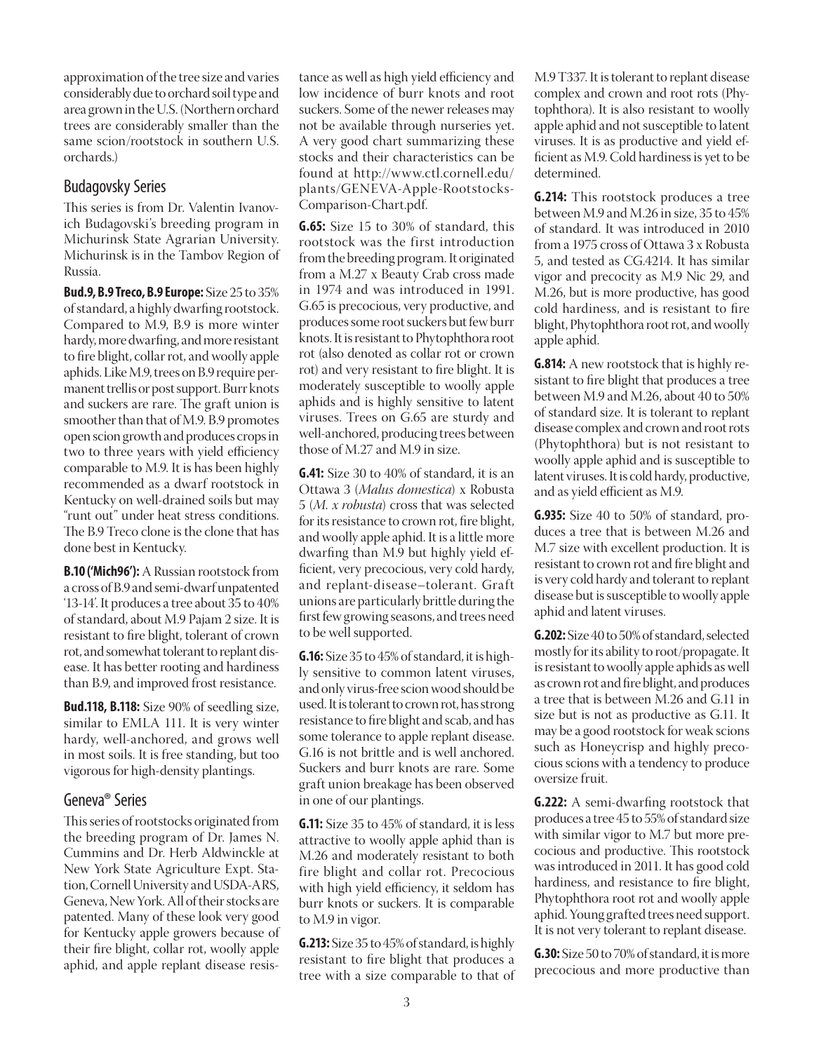approximation of the tree size and varies considerably due to orchard soil type and area grown in the U.S. (Northern orchard trees are considerably smaller than the same scion/rootstock in southern U.S. orchards.)

### Budagovsky Series

This series is from Dr. Valentin Ivanovich Budagovski's breeding program in Michurinsk State Agrarian University. Michurinsk is in the Tambov Region of Russia.

**Bud.9, B.9 Treco, B.9 Europe:** Size 25 to 35% of standard, a highly dwarfing rootstock. Compared to M.9, B.9 is more winter hardy, more dwarfing, and more resistant to fire blight, collar rot, and woolly apple aphids. Like M.9, trees on B.9 require permanent trellis or post support. Burr knots and suckers are rare. The graft union is smoother than that of M.9. B.9 promotes open scion growth and produces crops in two to three years with yield efficiency comparable to M.9. It is has been highly recommended as a dwarf rootstock in Kentucky on well-drained soils but may "runt out" under heat stress conditions. The B.9 Treco clone is the clone that has done best in Kentucky.

**B.10 ('Mich96'):** A Russian rootstock from a cross of B.9 and semi-dwarf unpatented '13-14'. It produces a tree about 35 to 40% of standard, about M.9 Pajam 2 size. It is resistant to fire blight, tolerant of crown rot, and somewhat tolerant to replant disease. It has better rooting and hardiness than B.9, and improved frost resistance.

**Bud.118, B.118:** Size 90% of seedling size, similar to EMLA 111. It is very winter hardy, well-anchored, and grows well in most soils. It is free standing, but too vigorous for high-density plantings.

### Geneva® Series

This series of rootstocks originated from the breeding program of Dr. James N. Cummins and Dr. Herb Aldwinckle at New York State Agriculture Expt. Station, Cornell University and USDA-ARS, Geneva, New York. All of their stocks are patented. Many of these look very good for Kentucky apple growers because of their fire blight, collar rot, woolly apple aphid, and apple replant disease resistance as well as high yield efficiency and low incidence of burr knots and root suckers. Some of the newer releases may not be available through nurseries yet. A very good chart summarizing these stocks and their characteristics can be found at http://www.ctl.cornell.edu/ plants/GENEVA-Apple-Rootstocks-Comparison-Chart.pdf.

**G.65:** Size 15 to 30% of standard, this rootstock was the first introduction from the breeding program. It originated from a M.27 x Beauty Crab cross made in 1974 and was introduced in 1991. G.65 is precocious, very productive, and produces some root suckers but few burr knots. It is resistant to Phytophthora root rot (also denoted as collar rot or crown rot) and very resistant to fire blight. It is moderately susceptible to woolly apple aphids and is highly sensitive to latent viruses. Trees on G.65 are sturdy and well-anchored, producing trees between those of M.27 and M.9 in size.

**G.41:** Size 30 to 40% of standard, it is an Ottawa 3 (*Malus domestica*) x Robusta 5 (*M. x robusta*) cross that was selected for its resistance to crown rot, fire blight, and woolly apple aphid. It is a little more dwarfing than M.9 but highly yield efficient, very precocious, very cold hardy, and replant-disease–tolerant. Graft unions are particularly brittle during the first few growing seasons, and trees need to be well supported.

**G.16:** Size 35 to 45% of standard, it is highly sensitive to common latent viruses, and only virus-free scion wood should be used. It is tolerant to crown rot, has strong resistance to fire blight and scab, and has some tolerance to apple replant disease. G.16 is not brittle and is well anchored. Suckers and burr knots are rare. Some graft union breakage has been observed in one of our plantings.

**G.11:** Size 35 to 45% of standard, it is less attractive to woolly apple aphid than is M.26 and moderately resistant to both fire blight and collar rot. Precocious with high yield efficiency, it seldom has burr knots or suckers. It is comparable to M.9 in vigor.

**G.213:** Size 35 to 45% of standard, is highly resistant to fire blight that produces a tree with a size comparable to that of M.9 T337. It is tolerant to replant disease complex and crown and root rots (Phytophthora). It is also resistant to woolly apple aphid and not susceptible to latent viruses. It is as productive and yield efficient as M.9. Cold hardiness is yet to be determined.

**G.214:** This rootstock produces a tree between M.9 and M.26 in size, 35 to 45% of standard. It was introduced in 2010 from a 1975 cross of Ottawa 3 x Robusta 5, and tested as CG.4214. It has similar vigor and precocity as M.9 Nic 29, and M.26, but is more productive, has good cold hardiness, and is resistant to fire blight, Phytophthora root rot, and woolly apple aphid.

**G.814:** A new rootstock that is highly resistant to fire blight that produces a tree between M.9 and M.26, about 40 to 50% of standard size. It is tolerant to replant disease complex and crown and root rots (Phytophthora) but is not resistant to woolly apple aphid and is susceptible to latent viruses. It is cold hardy, productive, and as yield efficient as M.9.

**G.935:** Size 40 to 50% of standard, produces a tree that is between M.26 and M.7 size with excellent production. It is resistant to crown rot and fire blight and is very cold hardy and tolerant to replant disease but is susceptible to woolly apple aphid and latent viruses.

**G.202:** Size 40 to 50% of standard, selected mostly for its ability to root/propagate. It is resistant to woolly apple aphids as well as crown rot and fire blight, and produces a tree that is between M.26 and G.11 in size but is not as productive as G.11. It may be a good rootstock for weak scions such as Honeycrisp and highly precocious scions with a tendency to produce oversize fruit.

**G.222:** A semi-dwarfing rootstock that produces a tree 45 to 55% of standard size with similar vigor to M.7 but more precocious and productive. This rootstock was introduced in 2011. It has good cold hardiness, and resistance to fire blight, Phytophthora root rot and woolly apple aphid. Young grafted trees need support. It is not very tolerant to replant disease.

**G.30:** Size 50 to 70% of standard, it is more precocious and more productive than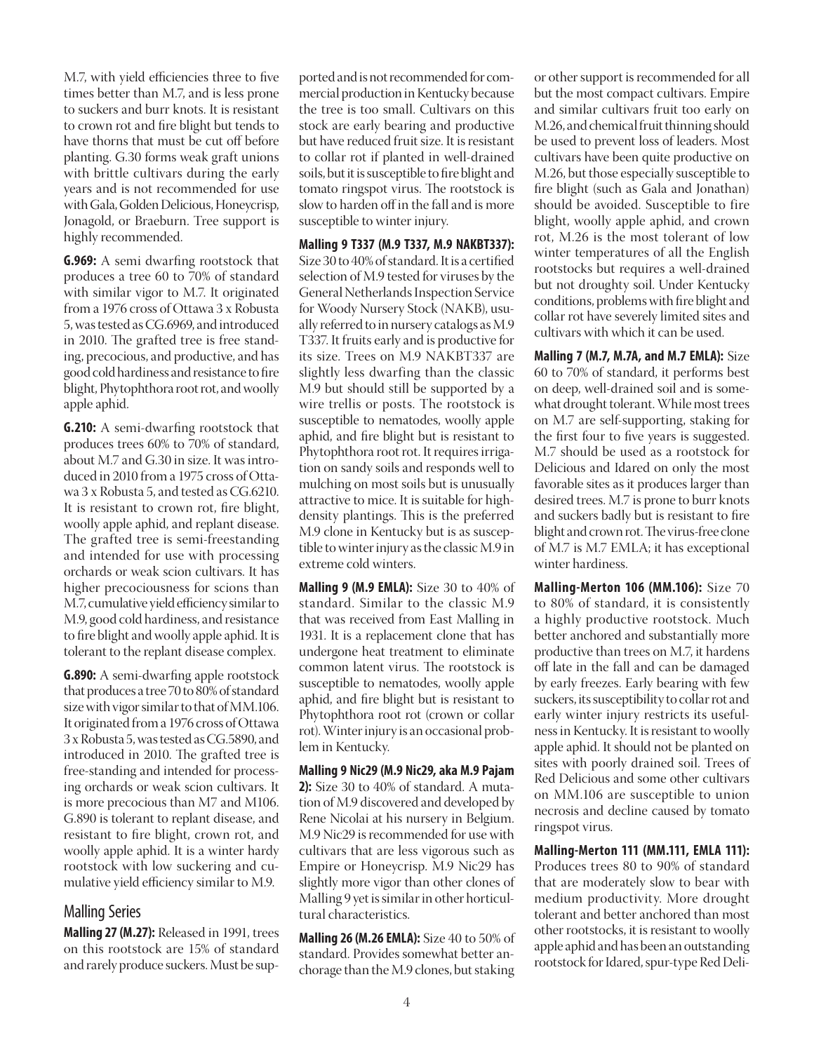M.7, with yield efficiencies three to five times better than M.7, and is less prone to suckers and burr knots. It is resistant to crown rot and fire blight but tends to have thorns that must be cut off before planting. G.30 forms weak graft unions with brittle cultivars during the early years and is not recommended for use with Gala, Golden Delicious, Honeycrisp, Jonagold, or Braeburn. Tree support is highly recommended.

**G.969:** A semi dwarfing rootstock that produces a tree 60 to 70% of standard with similar vigor to M.7. It originated from a 1976 cross of Ottawa 3 x Robusta 5, was tested as CG.6969, and introduced in 2010. The grafted tree is free standing, precocious, and productive, and has good cold hardiness and resistance to fire blight, Phytophthora root rot, and woolly apple aphid.

**G.210:** A semi-dwarfing rootstock that produces trees 60% to 70% of standard, about M.7 and G.30 in size. It was introduced in 2010 from a 1975 cross of Ottawa 3 x Robusta 5, and tested as CG.6210. It is resistant to crown rot, fire blight, woolly apple aphid, and replant disease. The grafted tree is semi-freestanding and intended for use with processing orchards or weak scion cultivars. It has higher precociousness for scions than M.7, cumulative yield efficiency similar to M.9, good cold hardiness, and resistance to fire blight and woolly apple aphid. It is tolerant to the replant disease complex.

**G.890:** A semi-dwarfing apple rootstock that produces a tree 70 to 80% of standard size with vigor similar to that of MM.106. It originated from a 1976 cross of Ottawa 3 x Robusta 5, was tested as CG.5890, and introduced in 2010. The grafted tree is free-standing and intended for processing orchards or weak scion cultivars. It is more precocious than M7 and M106. G.890 is tolerant to replant disease, and resistant to fire blight, crown rot, and woolly apple aphid. It is a winter hardy rootstock with low suckering and cumulative yield efficiency similar to M.9.

### Malling Series

**Malling 27 (M.27):** Released in 1991, trees on this rootstock are 15% of standard and rarely produce suckers. Must be supported and is not recommended for commercial production in Kentucky because the tree is too small. Cultivars on this stock are early bearing and productive but have reduced fruit size. It is resistant to collar rot if planted in well-drained soils, but it is susceptible to fire blight and tomato ringspot virus. The rootstock is slow to harden off in the fall and is more susceptible to winter injury.

**Malling 9 T337 (M.9 T337, M.9 NAKBT337):** Size 30 to 40% of standard. It is a certified selection of M.9 tested for viruses by the General Netherlands Inspection Service for Woody Nursery Stock (NAKB), usually referred to in nursery catalogs as M.9 T337. It fruits early and is productive for its size. Trees on M.9 NAKBT337 are slightly less dwarfing than the classic M.9 but should still be supported by a wire trellis or posts. The rootstock is susceptible to nematodes, woolly apple aphid, and fire blight but is resistant to Phytophthora root rot. It requires irrigation on sandy soils and responds well to mulching on most soils but is unusually attractive to mice. It is suitable for highdensity plantings. This is the preferred M.9 clone in Kentucky but is as susceptible to winter injury as the classic M.9 in extreme cold winters.

**Malling 9 (M.9 EMLA):** Size 30 to 40% of standard. Similar to the classic M.9 that was received from East Malling in 1931. It is a replacement clone that has undergone heat treatment to eliminate common latent virus. The rootstock is susceptible to nematodes, woolly apple aphid, and fire blight but is resistant to Phytophthora root rot (crown or collar rot). Winter injury is an occasional problem in Kentucky.

**Malling 9 Nic29 (M.9 Nic29, aka M.9 Pajam 2):** Size 30 to 40% of standard. A mutation of M.9 discovered and developed by Rene Nicolai at his nursery in Belgium. M.9 Nic29 is recommended for use with cultivars that are less vigorous such as Empire or Honeycrisp. M.9 Nic29 has slightly more vigor than other clones of Malling 9 yet is similar in other horticultural characteristics.

**Malling 26 (M.26 EMLA):** Size 40 to 50% of standard. Provides somewhat better anchorage than the M.9 clones, but staking or other support is recommended for all but the most compact cultivars. Empire and similar cultivars fruit too early on M.26, and chemical fruit thinning should be used to prevent loss of leaders. Most cultivars have been quite productive on M.26, but those especially susceptible to fire blight (such as Gala and Jonathan) should be avoided. Susceptible to fire blight, woolly apple aphid, and crown rot, M.26 is the most tolerant of low winter temperatures of all the English rootstocks but requires a well-drained but not droughty soil. Under Kentucky conditions, problems with fire blight and collar rot have severely limited sites and cultivars with which it can be used.

**Malling 7 (M.7, M.7A, and M.7 EMLA):** Size 60 to 70% of standard, it performs best on deep, well-drained soil and is somewhat drought tolerant. While most trees on M.7 are self-supporting, staking for the first four to five years is suggested. M.7 should be used as a rootstock for Delicious and Idared on only the most favorable sites as it produces larger than desired trees. M.7 is prone to burr knots and suckers badly but is resistant to fire blight and crown rot. The virus-free clone of M.7 is M.7 EMLA; it has exceptional winter hardiness.

**Malling-Merton 106 (MM.106):** Size 70 to 80% of standard, it is consistently a highly productive rootstock. Much better anchored and substantially more productive than trees on M.7, it hardens off late in the fall and can be damaged by early freezes. Early bearing with few suckers, its susceptibility to collar rot and early winter injury restricts its usefulness in Kentucky. It is resistant to woolly apple aphid. It should not be planted on sites with poorly drained soil. Trees of Red Delicious and some other cultivars on MM.106 are susceptible to union necrosis and decline caused by tomato ringspot virus.

**Malling-Merton 111 (MM.111, EMLA 111):** Produces trees 80 to 90% of standard that are moderately slow to bear with medium productivity. More drought tolerant and better anchored than most other rootstocks, it is resistant to woolly apple aphid and has been an outstanding rootstock for Idared, spur-type Red Deli-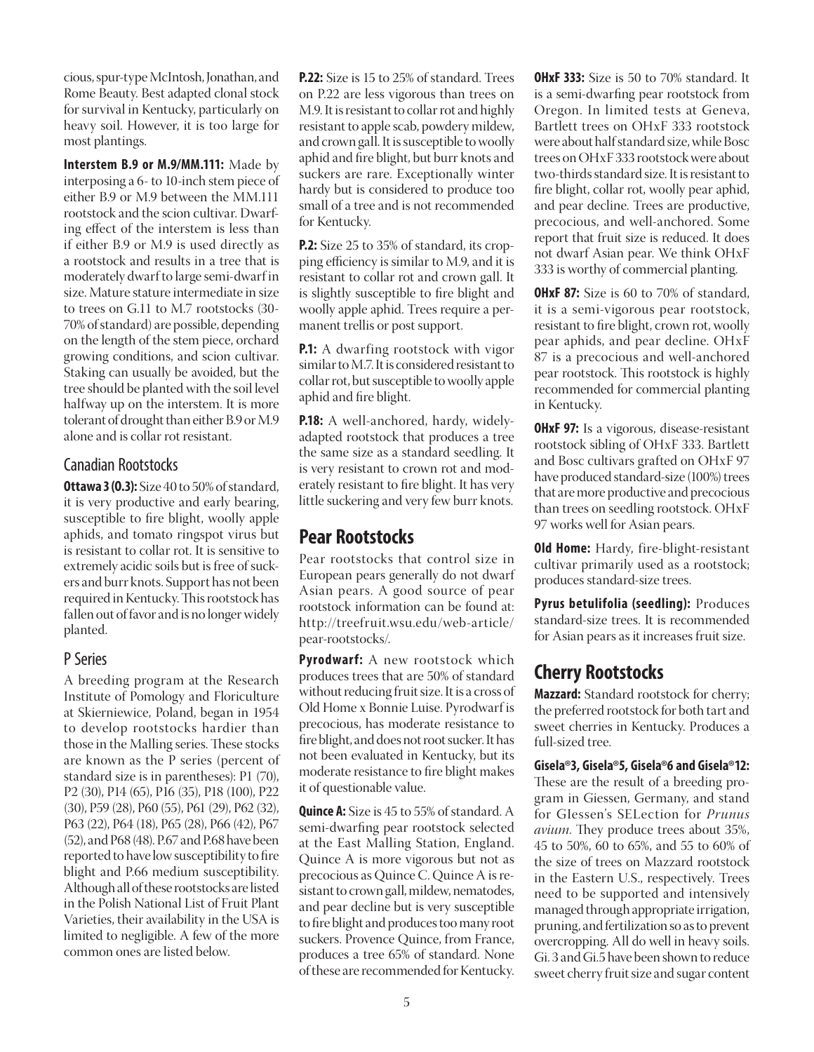cious, spur-type McIntosh, Jonathan, and Rome Beauty. Best adapted clonal stock for survival in Kentucky, particularly on heavy soil. However, it is too large for most plantings.

**Interstem B.9 or M.9/MM.111:** Made by interposing a 6- to 10-inch stem piece of either B.9 or M.9 between the MM.111 rootstock and the scion cultivar. Dwarfing effect of the interstem is less than if either B.9 or M.9 is used directly as a rootstock and results in a tree that is moderately dwarf to large semi-dwarf in size. Mature stature intermediate in size to trees on G.11 to M.7 rootstocks (30- 70% of standard) are possible, depending on the length of the stem piece, orchard growing conditions, and scion cultivar. Staking can usually be avoided, but the tree should be planted with the soil level halfway up on the interstem. It is more tolerant of drought than either B.9 or M.9 alone and is collar rot resistant.

### Canadian Rootstocks

**Ottawa 3 (O.3):** Size 40 to 50% of standard, it is very productive and early bearing, susceptible to fire blight, woolly apple aphids, and tomato ringspot virus but is resistant to collar rot. It is sensitive to extremely acidic soils but is free of suckers and burr knots. Support has not been required in Kentucky. This rootstock has fallen out of favor and is no longer widely planted.

### P Series

A breeding program at the Research Institute of Pomology and Floriculture at Skierniewice, Poland, began in 1954 to develop rootstocks hardier than those in the Malling series. These stocks are known as the P series (percent of standard size is in parentheses): P1 (70), P2 (30), P14 (65), P16 (35), P18 (100), P22 (30), P59 (28), P60 (55), P61 (29), P62 (32), P63 (22), P64 (18), P65 (28), P66 (42), P67 (52), and P68 (48). P.67 and P.68 have been reported to have low susceptibility to fire blight and P.66 medium susceptibility. Although all of these rootstocks are listed in the Polish National List of Fruit Plant Varieties, their availability in the USA is limited to negligible. A few of the more common ones are listed below.

**P.22:** Size is 15 to 25% of standard. Trees on P.22 are less vigorous than trees on M.9. It is resistant to collar rot and highly resistant to apple scab, powdery mildew, and crown gall. It is susceptible to woolly aphid and fire blight, but burr knots and suckers are rare. Exceptionally winter hardy but is considered to produce too small of a tree and is not recommended for Kentucky.

**P.2:** Size 25 to 35% of standard, its cropping efficiency is similar to M.9, and it is resistant to collar rot and crown gall. It is slightly susceptible to fire blight and woolly apple aphid. Trees require a permanent trellis or post support.

**P.1:** A dwarfing rootstock with vigor similar to M.7. It is considered resistant to collar rot, but susceptible to woolly apple aphid and fire blight.

**P.18:** A well-anchored, hardy, widelyadapted rootstock that produces a tree the same size as a standard seedling. It is very resistant to crown rot and moderately resistant to fire blight. It has very little suckering and very few burr knots.

# **Pear Rootstocks**

Pear rootstocks that control size in European pears generally do not dwarf Asian pears. A good source of pear rootstock information can be found at: http://treefruit.wsu.edu/web-article/ pear-rootstocks/.

**Pyrodwarf:** A new rootstock which produces trees that are 50% of standard without reducing fruit size. It is a cross of Old Home x Bonnie Luise. Pyrodwarf is precocious, has moderate resistance to fire blight, and does not root sucker. It has not been evaluated in Kentucky, but its moderate resistance to fire blight makes it of questionable value.

**Quince A:** Size is 45 to 55% of standard. A semi-dwarfing pear rootstock selected at the East Malling Station, England. Quince A is more vigorous but not as precocious as Quince C. Quince A is resistant to crown gall, mildew, nematodes, and pear decline but is very susceptible to fire blight and produces too many root suckers. Provence Quince, from France, produces a tree 65% of standard. None of these are recommended for Kentucky. **OHxF 333:** Size is 50 to 70% standard. It is a semi-dwarfing pear rootstock from Oregon. In limited tests at Geneva, Bartlett trees on OHxF 333 rootstock were about half standard size, while Bosc trees on OHxF 333 rootstock were about two-thirds standard size. It is resistant to fire blight, collar rot, woolly pear aphid, and pear decline. Trees are productive, precocious, and well-anchored. Some report that fruit size is reduced. It does not dwarf Asian pear. We think OHxF 333 is worthy of commercial planting.

**OHxF 87:** Size is 60 to 70% of standard, it is a semi-vigorous pear rootstock, resistant to fire blight, crown rot, woolly pear aphids, and pear decline. OHxF 87 is a precocious and well-anchored pear rootstock. This rootstock is highly recommended for commercial planting in Kentucky.

**OHxF 97:** Is a vigorous, disease-resistant rootstock sibling of OHxF 333. Bartlett and Bosc cultivars grafted on OHxF 97 have produced standard-size (100%) trees that are more productive and precocious than trees on seedling rootstock. OHxF 97 works well for Asian pears.

**Old Home:** Hardy, fire-blight-resistant cultivar primarily used as a rootstock; produces standard-size trees.

**Pyrus betulifolia (seedling):** Produces standard-size trees. It is recommended for Asian pears as it increases fruit size.

# **Cherry Rootstocks**

**Mazzard:** Standard rootstock for cherry; the preferred rootstock for both tart and sweet cherries in Kentucky. Produces a full-sized tree.

**Gisela**®**3, Gisela**®**5, Gisela**®**6 and Gisela**®**12:** These are the result of a breeding program in Giessen, Germany, and stand for GIessen's SELection for *Prunus avium*. They produce trees about 35%, 45 to 50%, 60 to 65%, and 55 to 60% of the size of trees on Mazzard rootstock in the Eastern U.S., respectively. Trees need to be supported and intensively managed through appropriate irrigation, pruning, and fertilization so as to prevent overcropping. All do well in heavy soils. Gi. 3 and Gi.5 have been shown to reduce sweet cherry fruit size and sugar content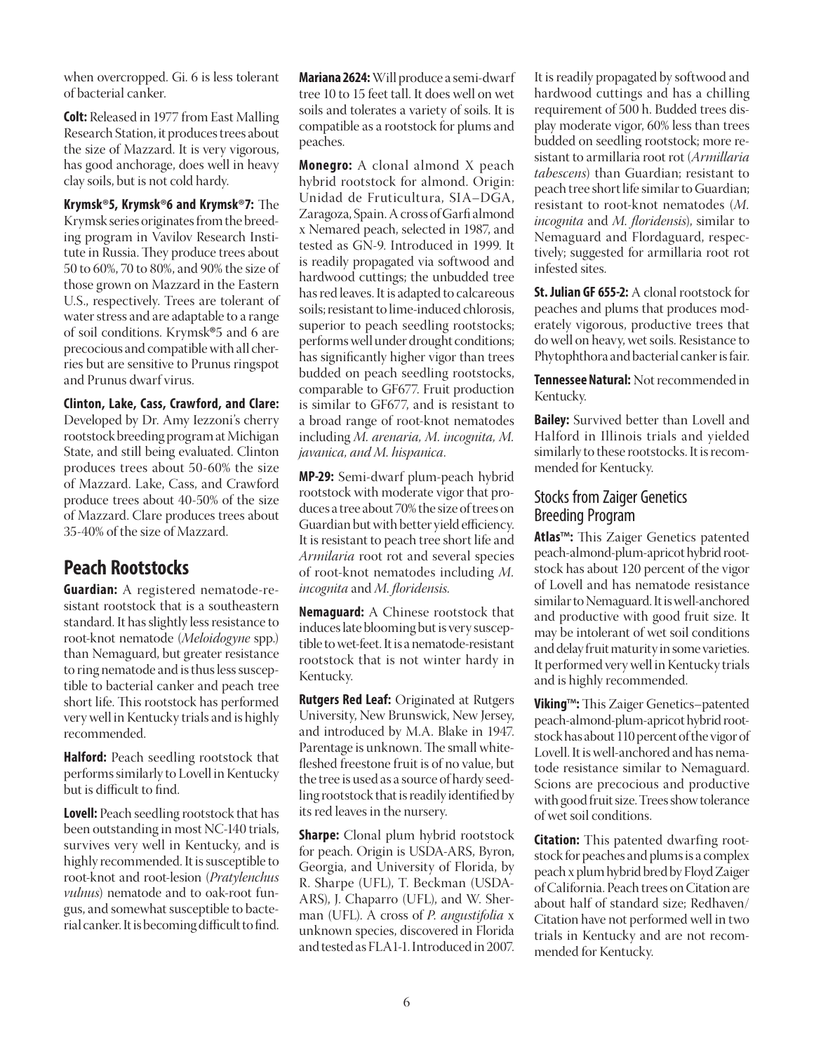when overcropped. Gi. 6 is less tolerant of bacterial canker.

**Colt:** Released in 1977 from East Malling Research Station, it produces trees about the size of Mazzard. It is very vigorous, has good anchorage, does well in heavy clay soils, but is not cold hardy.

**Krymsk**®**5, Krymsk**®**6 and Krymsk**®**7:** The Krymsk series originates from the breeding program in Vavilov Research Institute in Russia. They produce trees about 50 to 60%, 70 to 80%, and 90% the size of those grown on Mazzard in the Eastern U.S., respectively. Trees are tolerant of water stress and are adaptable to a range of soil conditions. Krymsk®5 and 6 are precocious and compatible with all cherries but are sensitive to Prunus ringspot and Prunus dwarf virus.

### **Clinton, Lake, Cass, Crawford, and Clare:**

Developed by Dr. Amy Iezzoni's cherry rootstock breeding program at Michigan State, and still being evaluated. Clinton produces trees about 50-60% the size of Mazzard. Lake, Cass, and Crawford produce trees about 40-50% of the size of Mazzard. Clare produces trees about 35-40% of the size of Mazzard.

### **Peach Rootstocks**

**Guardian:** A registered nematode-resistant rootstock that is a southeastern standard. It has slightly less resistance to root-knot nematode (*Meloidogyne* spp.) than Nemaguard, but greater resistance to ring nematode and is thus less susceptible to bacterial canker and peach tree short life. This rootstock has performed very well in Kentucky trials and is highly recommended.

**Halford:** Peach seedling rootstock that performs similarly to Lovell in Kentucky but is difficult to find.

**Lovell:** Peach seedling rootstock that has been outstanding in most NC-140 trials, survives very well in Kentucky, and is highly recommended. It is susceptible to root-knot and root-lesion (*Pratylenchus vulnus*) nematode and to oak-root fungus, and somewhat susceptible to bacterial canker. It is becoming difficult to find.

**Mariana 2624:** Will produce a semi-dwarf tree 10 to 15 feet tall. It does well on wet soils and tolerates a variety of soils. It is compatible as a rootstock for plums and peaches.

**Monegro:** A clonal almond X peach hybrid rootstock for almond. Origin: Unidad de Fruticultura, SIA–DGA, Zaragoza, Spain. A cross of Garfi almond x Nemared peach, selected in 1987, and tested as GN-9. Introduced in 1999. It is readily propagated via softwood and hardwood cuttings; the unbudded tree has red leaves. It is adapted to calcareous soils; resistant to lime-induced chlorosis, superior to peach seedling rootstocks; performs well under drought conditions; has significantly higher vigor than trees budded on peach seedling rootstocks, comparable to GF677. Fruit production is similar to GF677, and is resistant to a broad range of root-knot nematodes including *M. arenaria, M. incognita, M. javanica, and M. hispanica*.

**MP-29:** Semi-dwarf plum-peach hybrid rootstock with moderate vigor that produces a tree about 70% the size of trees on Guardian but with better yield efficiency. It is resistant to peach tree short life and *Armilaria* root rot and several species of root-knot nematodes including *M. incognita* and *M. floridensis.*

**Nemaguard:** A Chinese rootstock that induces late blooming but is very susceptible to wet-feet. It is a nematode-resistant rootstock that is not winter hardy in Kentucky.

**Rutgers Red Leaf:** Originated at Rutgers University, New Brunswick, New Jersey, and introduced by M.A. Blake in 1947. Parentage is unknown. The small whitefleshed freestone fruit is of no value, but the tree is used as a source of hardy seedling rootstock that is readily identified by its red leaves in the nursery.

**Sharpe:** Clonal plum hybrid rootstock for peach. Origin is USDA-ARS, Byron, Georgia, and University of Florida, by R. Sharpe (UFL), T. Beckman (USDA-ARS), J. Chaparro (UFL), and W. Sherman (UFL). A cross of *P. angustifolia* x unknown species, discovered in Florida and tested as FLA1-1. Introduced in 2007.

It is readily propagated by softwood and hardwood cuttings and has a chilling requirement of 500 h. Budded trees display moderate vigor, 60% less than trees budded on seedling rootstock; more resistant to armillaria root rot (*Armillaria tabescens*) than Guardian; resistant to peach tree short life similar to Guardian; resistant to root-knot nematodes (*M. incognita* and *M. floridensis*), similar to Nemaguard and Flordaguard, respectively; suggested for armillaria root rot infested sites.

**St. Julian GF 655-2:** A clonal rootstock for peaches and plums that produces moderately vigorous, productive trees that do well on heavy, wet soils. Resistance to Phytophthora and bacterial canker is fair.

**Tennessee Natural:** Not recommended in Kentucky.

**Bailey:** Survived better than Lovell and Halford in Illinois trials and yielded similarly to these rootstocks. It is recommended for Kentucky.

### Stocks from Zaiger Genetics Breeding Program

**Atlas**™**:** This Zaiger Genetics patented peach-almond-plum-apricot hybrid rootstock has about 120 percent of the vigor of Lovell and has nematode resistance similar to Nemaguard. It is well-anchored and productive with good fruit size. It may be intolerant of wet soil conditions and delay fruit maturity in some varieties. It performed very well in Kentucky trials and is highly recommended.

**Viking**™**:** This Zaiger Genetics–patented peach-almond-plum-apricot hybrid rootstock has about 110 percent of the vigor of Lovell. It is well-anchored and has nematode resistance similar to Nemaguard. Scions are precocious and productive with good fruit size. Trees show tolerance of wet soil conditions.

**Citation:** This patented dwarfing rootstock for peaches and plums is a complex peach x plum hybrid bred by Floyd Zaiger of California. Peach trees on Citation are about half of standard size; Redhaven/ Citation have not performed well in two trials in Kentucky and are not recommended for Kentucky.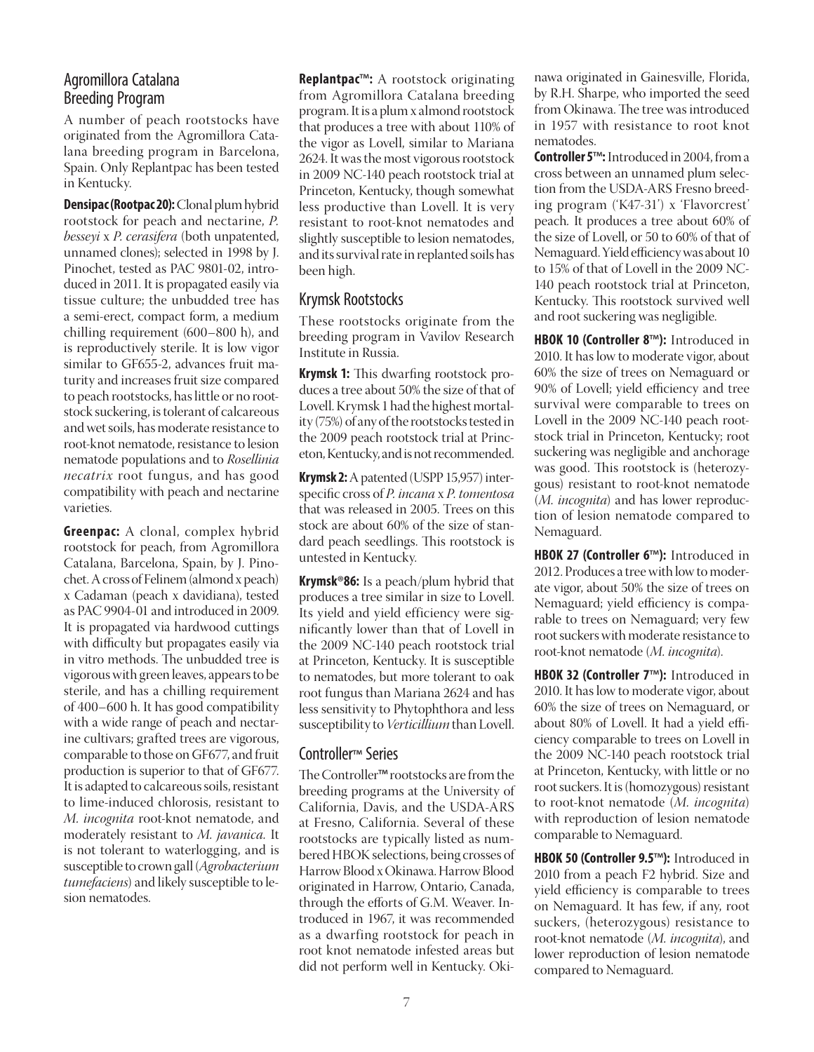### Agromillora Catalana Breeding Program

A number of peach rootstocks have originated from the Agromillora Catalana breeding program in Barcelona, Spain. Only Replantpac has been tested in Kentucky.

**Densipac (Rootpac 20):** Clonal plum hybrid rootstock for peach and nectarine, *P. besseyi* x *P. cerasifera* (both unpatented, unnamed clones); selected in 1998 by J. Pinochet, tested as PAC 9801-02, introduced in 2011. It is propagated easily via tissue culture; the unbudded tree has a semi-erect, compact form, a medium chilling requirement (600–800 h), and is reproductively sterile. It is low vigor similar to GF655-2, advances fruit maturity and increases fruit size compared to peach rootstocks, has little or no rootstock suckering, is tolerant of calcareous and wet soils, has moderate resistance to root-knot nematode, resistance to lesion nematode populations and to *Rosellinia necatrix* root fungus, and has good compatibility with peach and nectarine varieties.

**Greenpac:** A clonal, complex hybrid rootstock for peach, from Agromillora Catalana, Barcelona, Spain, by J. Pinochet. A cross of Felinem (almond x peach) x Cadaman (peach x davidiana), tested as PAC 9904-01 and introduced in 2009. It is propagated via hardwood cuttings with difficulty but propagates easily via in vitro methods. The unbudded tree is vigorous with green leaves, appears to be sterile, and has a chilling requirement of 400–600 h. It has good compatibility with a wide range of peach and nectarine cultivars; grafted trees are vigorous, comparable to those on GF677, and fruit production is superior to that of GF677. It is adapted to calcareous soils, resistant to lime-induced chlorosis, resistant to *M. incognita* root-knot nematode, and moderately resistant to *M. javanica.* It is not tolerant to waterlogging, and is susceptible to crown gall (*Agrobacterium tumefaciens*) and likely susceptible to lesion nematodes.

**Replantpac**™**:** A rootstock originating from Agromillora Catalana breeding program. It is a plum x almond rootstock that produces a tree with about 110% of the vigor as Lovell, similar to Mariana 2624. It was the most vigorous rootstock in 2009 NC-140 peach rootstock trial at Princeton, Kentucky, though somewhat less productive than Lovell. It is very resistant to root-knot nematodes and slightly susceptible to lesion nematodes, and its survival rate in replanted soils has been high.

### Krymsk Rootstocks

These rootstocks originate from the breeding program in Vavilov Research Institute in Russia.

**Krymsk 1:** This dwarfing rootstock produces a tree about 50% the size of that of Lovell. Krymsk 1 had the highest mortality (75%) of any of the rootstocks tested in the 2009 peach rootstock trial at Princeton, Kentucky, and is not recommended.

**Krymsk 2:** A patented (USPP 15,957) interspecific cross of *P. incana* x *P. tomentosa* that was released in 2005. Trees on this stock are about 60% of the size of standard peach seedlings. This rootstock is untested in Kentucky.

**Krymsk**®**86:** Is a peach/plum hybrid that produces a tree similar in size to Lovell. Its yield and yield efficiency were significantly lower than that of Lovell in the 2009 NC-140 peach rootstock trial at Princeton, Kentucky. It is susceptible to nematodes, but more tolerant to oak root fungus than Mariana 2624 and has less sensitivity to Phytophthora and less susceptibility to *Verticillium* than Lovell.

### Controller™ Series

The Controller™ rootstocks are from the breeding programs at the University of California, Davis, and the USDA-ARS at Fresno, California. Several of these rootstocks are typically listed as numbered HBOK selections, being crosses of Harrow Blood x Okinawa. Harrow Blood originated in Harrow, Ontario, Canada, through the efforts of G.M. Weaver. Introduced in 1967, it was recommended as a dwarfing rootstock for peach in root knot nematode infested areas but did not perform well in Kentucky. Okinawa originated in Gainesville, Florida, by R.H. Sharpe, who imported the seed from Okinawa. The tree was introduced in 1957 with resistance to root knot nematodes.

**Controller 5**™**:** Introduced in 2004, from a cross between an unnamed plum selection from the USDA-ARS Fresno breeding program ('K47-31') x 'Flavorcrest' peach*.* It produces a tree about 60% of the size of Lovell, or 50 to 60% of that of Nemaguard. Yield efficiency was about 10 to 15% of that of Lovell in the 2009 NC-140 peach rootstock trial at Princeton, Kentucky. This rootstock survived well and root suckering was negligible.

**HBOK 10 (Controller 8**™**):** Introduced in 2010. It has low to moderate vigor, about 60% the size of trees on Nemaguard or 90% of Lovell; yield efficiency and tree survival were comparable to trees on Lovell in the 2009 NC-140 peach rootstock trial in Princeton, Kentucky; root suckering was negligible and anchorage was good. This rootstock is (heterozygous) resistant to root-knot nematode (*M. incognita*) and has lower reproduction of lesion nematode compared to Nemaguard.

**HBOK 27 (Controller 6**™**):** Introduced in 2012. Produces a tree with low to moderate vigor, about 50% the size of trees on Nemaguard; yield efficiency is comparable to trees on Nemaguard; very few root suckers with moderate resistance to root-knot nematode (*M. incognita*).

**HBOK 32 (Controller 7**™**):** Introduced in 2010. It has low to moderate vigor, about 60% the size of trees on Nemaguard, or about 80% of Lovell. It had a yield efficiency comparable to trees on Lovell in the 2009 NC-140 peach rootstock trial at Princeton, Kentucky, with little or no root suckers. It is (homozygous) resistant to root-knot nematode (*M. incognita*) with reproduction of lesion nematode comparable to Nemaguard.

**HBOK 50 (Controller 9.5**™**):** Introduced in 2010 from a peach F2 hybrid. Size and yield efficiency is comparable to trees on Nemaguard. It has few, if any, root suckers, (heterozygous) resistance to root-knot nematode (*M. incognita*), and lower reproduction of lesion nematode compared to Nemaguard.